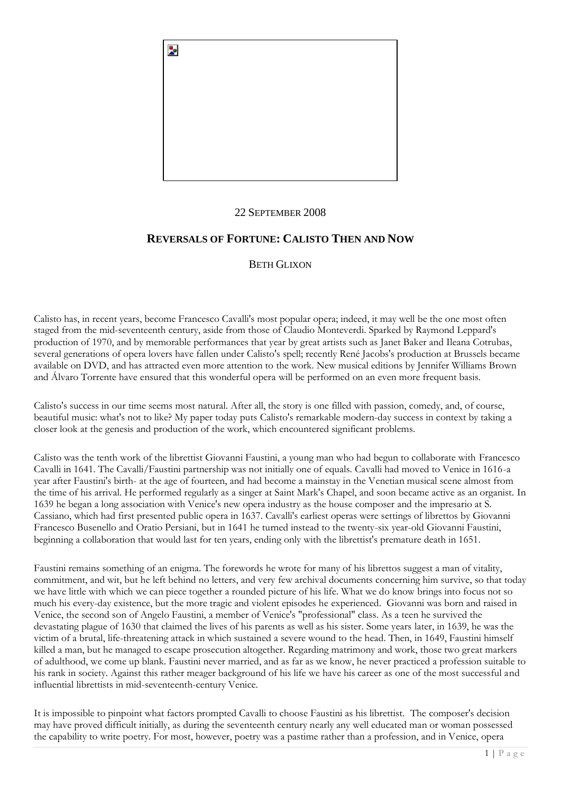

## 22 SEPTEMBER 2008

# **REVERSALS OF FORTUNE: CALISTO THEN AND NOW**

## BETH GLIXON

Calisto has, in recent years, become Francesco Cavalli's most popular opera; indeed, it may well be the one most often staged from the mid-seventeenth century, aside from those of Claudio Monteverdi. Sparked by Raymond Leppard's production of 1970, and by memorable performances that year by great artists such as Janet Baker and Ileana Cotrubas, several generations of opera lovers have fallen under Calisto's spell; recently René Jacobs's production at Brussels became available on DVD, and has attracted even more attention to the work. New musical editions by Jennifer Williams Brown and Álvaro Torrente have ensured that this wonderful opera will be performed on an even more frequent basis.

Calisto's success in our time seems most natural. After all, the story is one filled with passion, comedy, and, of course, beautiful music: what's not to like? My paper today puts Calisto's remarkable modern-day success in context by taking a closer look at the genesis and production of the work, which encountered significant problems.

Calisto was the tenth work of the librettist Giovanni Faustini, a young man who had begun to collaborate with Francesco Cavalli in 1641. The Cavalli/Faustini partnership was not initially one of equals. Cavalli had moved to Venice in 1616-a year after Faustini's birth- at the age of fourteen, and had become a mainstay in the Venetian musical scene almost from the time of his arrival. He performed regularly as a singer at Saint Mark's Chapel, and soon became active as an organist. In 1639 he began a long association with Venice's new opera industry as the house composer and the impresario at S. Cassiano, which had first presented public opera in 1637. Cavalli's earliest operas were settings of librettos by Giovanni Francesco Busenello and Oratio Persiani, but in 1641 he turned instead to the twenty-six year-old Giovanni Faustini, beginning a collaboration that would last for ten years, ending only with the librettist's premature death in 1651.

Faustini remains something of an enigma. The forewords he wrote for many of his librettos suggest a man of vitality, commitment, and wit, but he left behind no letters, and very few archival documents concerning him survive, so that today we have little with which we can piece together a rounded picture of his life. What we do know brings into focus not so much his every-day existence, but the more tragic and violent episodes he experienced. Giovanni was born and raised in Venice, the second son of Angelo Faustini, a member of Venice's "professional" class. As a teen he survived the devastating plague of 1630 that claimed the lives of his parents as well as his sister. Some years later, in 1639, he was the victim of a brutal, life-threatening attack in which sustained a severe wound to the head. Then, in 1649, Faustini himself killed a man, but he managed to escape prosecution altogether. Regarding matrimony and work, those two great markers of adulthood, we come up blank. Faustini never married, and as far as we know, he never practiced a profession suitable to his rank in society. Against this rather meager background of his life we have his career as one of the most successful and influential librettists in mid-seventeenth-century Venice.

It is impossible to pinpoint what factors prompted Cavalli to choose Faustini as his librettist. The composer's decision may have proved difficult initially, as during the seventeenth century nearly any well educated man or woman possessed the capability to write poetry. For most, however, poetry was a pastime rather than a profession, and in Venice, opera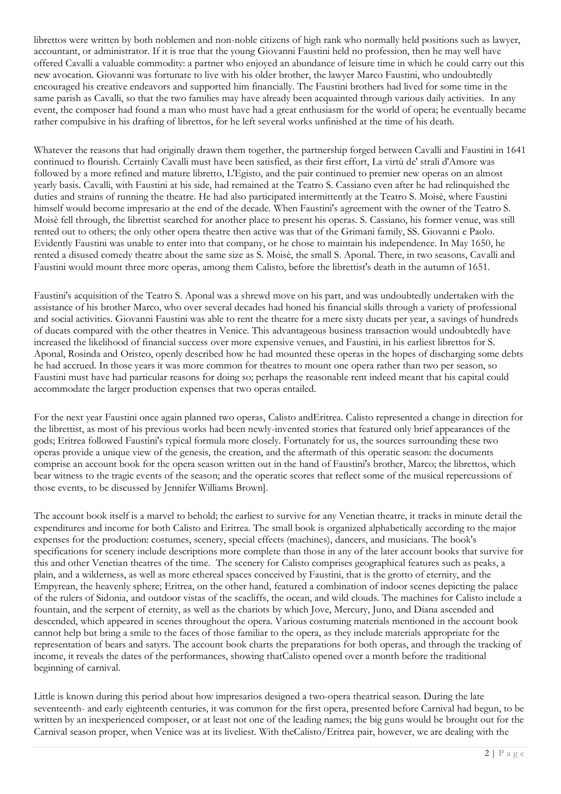librettos were written by both noblemen and non-noble citizens of high rank who normally held positions such as lawyer, accountant, or administrator. If it is true that the young Giovanni Faustini held no profession, then he may well have offered Cavalli a valuable commodity: a partner who enjoyed an abundance of leisure time in which he could carry out this new avocation. Giovanni was fortunate to live with his older brother, the lawyer Marco Faustini, who undoubtedly encouraged his creative endeavors and supported him financially. The Faustini brothers had lived for some time in the same parish as Cavalli, so that the two families may have already been acquainted through various daily activities. In any event, the composer had found a man who must have had a great enthusiasm for the world of opera; he eventually became rather compulsive in his drafting of librettos, for he left several works unfinished at the time of his death.

Whatever the reasons that had originally drawn them together, the partnership forged between Cavalli and Faustini in 1641 continued to flourish. Certainly Cavalli must have been satisfied, as their first effort, La virtù de' strali d'Amore was followed by a more refined and mature libretto, L'Egisto, and the pair continued to premier new operas on an almost yearly basis. Cavalli, with Faustini at his side, had remained at the Teatro S. Cassiano even after he had relinquished the duties and strains of running the theatre. He had also participated intermittently at the Teatro S. Moisè, where Faustini himself would become impresario at the end of the decade. When Faustini's agreement with the owner of the Teatro S. Moisè fell through, the librettist searched for another place to present his operas. S. Cassiano, his former venue, was still rented out to others; the only other opera theatre then active was that of the Grimani family, SS. Giovanni e Paolo. Evidently Faustini was unable to enter into that company, or he chose to maintain his independence. In May 1650, he rented a disused comedy theatre about the same size as S. Moisè, the small S. Aponal. There, in two seasons, Cavalli and Faustini would mount three more operas, among them Calisto, before the librettist's death in the autumn of 1651.

Faustini's acquisition of the Teatro S. Aponal was a shrewd move on his part, and was undoubtedly undertaken with the assistance of his brother Marco, who over several decades had honed his financial skills through a variety of professional and social activities. Giovanni Faustini was able to rent the theatre for a mere sixty ducats per year, a savings of hundreds of ducats compared with the other theatres in Venice. This advantageous business transaction would undoubtedly have increased the likelihood of financial success over more expensive venues, and Faustini, in his earliest librettos for S. Aponal, Rosinda and Oristeo, openly described how he had mounted these operas in the hopes of discharging some debts he had accrued. In those years it was more common for theatres to mount one opera rather than two per season, so Faustini must have had particular reasons for doing so; perhaps the reasonable rent indeed meant that his capital could accommodate the larger production expenses that two operas entailed.

For the next year Faustini once again planned two operas, Calisto andEritrea. Calisto represented a change in direction for the librettist, as most of his previous works had been newly-invented stories that featured only brief appearances of the gods; Eritrea followed Faustini's typical formula more closely. Fortunately for us, the sources surrounding these two operas provide a unique view of the genesis, the creation, and the aftermath of this operatic season: the documents comprise an account book for the opera season written out in the hand of Faustini's brother, Marco; the librettos, which bear witness to the tragic events of the season; and the operatic scores that reflect some of the musical repercussions of those events, to be discussed by Jennifer Williams Brown].

The account book itself is a marvel to behold; the earliest to survive for any Venetian theatre, it tracks in minute detail the expenditures and income for both Calisto and Eritrea. The small book is organized alphabetically according to the major expenses for the production: costumes, scenery, special effects (machines), dancers, and musicians. The book's specifications for scenery include descriptions more complete than those in any of the later account books that survive for this and other Venetian theatres of the time. The scenery for Calisto comprises geographical features such as peaks, a plain, and a wilderness, as well as more ethereal spaces conceived by Faustini, that is the grotto of eternity, and the Empyrean, the heavenly sphere; Eritrea, on the other hand, featured a combination of indoor scenes depicting the palace of the rulers of Sidonia, and outdoor vistas of the seacliffs, the ocean, and wild clouds. The machines for Calisto include a fountain, and the serpent of eternity, as well as the chariots by which Jove, Mercury, Juno, and Diana ascended and descended, which appeared in scenes throughout the opera. Various costuming materials mentioned in the account book cannot help but bring a smile to the faces of those familiar to the opera, as they include materials appropriate for the representation of bears and satyrs. The account book charts the preparations for both operas, and through the tracking of income, it reveals the dates of the performances, showing thatCalisto opened over a month before the traditional beginning of carnival.

Little is known during this period about how impresarios designed a two-opera theatrical season. During the late seventeenth- and early eighteenth centuries, it was common for the first opera, presented before Carnival had begun, to be written by an inexperienced composer, or at least not one of the leading names; the big guns would be brought out for the Carnival season proper, when Venice was at its liveliest. With theCalisto/Eritrea pair, however, we are dealing with the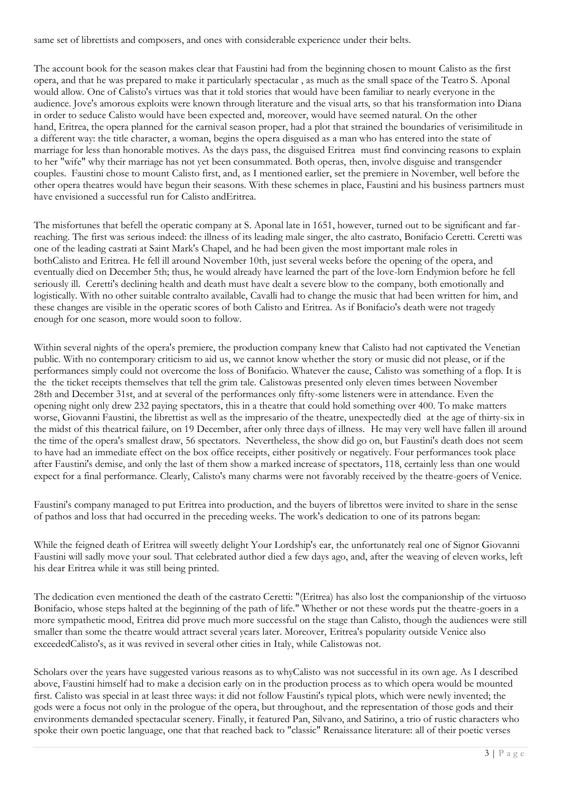same set of librettists and composers, and ones with considerable experience under their belts.

The account book for the season makes clear that Faustini had from the beginning chosen to mount Calisto as the first opera, and that he was prepared to make it particularly spectacular , as much as the small space of the Teatro S. Aponal would allow. One of Calisto's virtues was that it told stories that would have been familiar to nearly everyone in the audience. Jove's amorous exploits were known through literature and the visual arts, so that his transformation into Diana in order to seduce Calisto would have been expected and, moreover, would have seemed natural. On the other hand, Eritrea, the opera planned for the carnival season proper, had a plot that strained the boundaries of verisimilitude in a different way: the title character, a woman, begins the opera disguised as a man who has entered into the state of marriage for less than honorable motives. As the days pass, the disguised Eritrea must find convincing reasons to explain to her "wife" why their marriage has not yet been consummated. Both operas, then, involve disguise and transgender couples. Faustini chose to mount Calisto first, and, as I mentioned earlier, set the premiere in November, well before the other opera theatres would have begun their seasons. With these schemes in place, Faustini and his business partners must have envisioned a successful run for Calisto andEritrea.

The misfortunes that befell the operatic company at S. Aponal late in 1651, however, turned out to be significant and farreaching. The first was serious indeed: the illness of its leading male singer, the alto castrato, Bonifacio Ceretti. Ceretti was one of the leading castrati at Saint Mark's Chapel, and he had been given the most important male roles in bothCalisto and Eritrea. He fell ill around November 10th, just several weeks before the opening of the opera, and eventually died on December 5th; thus, he would already have learned the part of the love-lorn Endymion before he fell seriously ill. Ceretti's declining health and death must have dealt a severe blow to the company, both emotionally and logistically. With no other suitable contralto available, Cavalli had to change the music that had been written for him, and these changes are visible in the operatic scores of both Calisto and Eritrea. As if Bonifacio's death were not tragedy enough for one season, more would soon to follow.

Within several nights of the opera's premiere, the production company knew that Calisto had not captivated the Venetian public. With no contemporary criticism to aid us, we cannot know whether the story or music did not please, or if the performances simply could not overcome the loss of Bonifacio. Whatever the cause, Calisto was something of a flop. It is the the ticket receipts themselves that tell the grim tale. Calistowas presented only eleven times between November 28th and December 31st, and at several of the performances only fifty-some listeners were in attendance. Even the opening night only drew 232 paying spectators, this in a theatre that could hold something over 400. To make matters worse, Giovanni Faustini, the librettist as well as the impresario of the theatre, unexpectedly died at the age of thirty-six in the midst of this theatrical failure, on 19 December, after only three days of illness. He may very well have fallen ill around the time of the opera's smallest draw, 56 spectators. Nevertheless, the show did go on, but Faustini's death does not seem to have had an immediate effect on the box office receipts, either positively or negatively. Four performances took place after Faustini's demise, and only the last of them show a marked increase of spectators, 118, certainly less than one would expect for a final performance. Clearly, Calisto's many charms were not favorably received by the theatre-goers of Venice.

Faustini's company managed to put Eritrea into production, and the buyers of librettos were invited to share in the sense of pathos and loss that had occurred in the preceding weeks. The work's dedication to one of its patrons began:

While the feigned death of Eritrea will sweetly delight Your Lordship's ear, the unfortunately real one of Signor Giovanni Faustini will sadly move your soul. That celebrated author died a few days ago, and, after the weaving of eleven works, left his dear Eritrea while it was still being printed.

The dedication even mentioned the death of the castrato Ceretti: "(Eritrea) has also lost the companionship of the virtuoso Bonifacio, whose steps halted at the beginning of the path of life." Whether or not these words put the theatre-goers in a more sympathetic mood, Eritrea did prove much more successful on the stage than Calisto, though the audiences were still smaller than some the theatre would attract several years later. Moreover, Eritrea's popularity outside Venice also exceededCalisto's, as it was revived in several other cities in Italy, while Calistowas not.

Scholars over the years have suggested various reasons as to whyCalisto was not successful in its own age. As I described above, Faustini himself had to make a decision early on in the production process as to which opera would be mounted first. Calisto was special in at least three ways: it did not follow Faustini's typical plots, which were newly invented; the gods were a focus not only in the prologue of the opera, but throughout, and the representation of those gods and their environments demanded spectacular scenery. Finally, it featured Pan, Silvano, and Satirino, a trio of rustic characters who spoke their own poetic language, one that that reached back to "classic" Renaissance literature: all of their poetic verses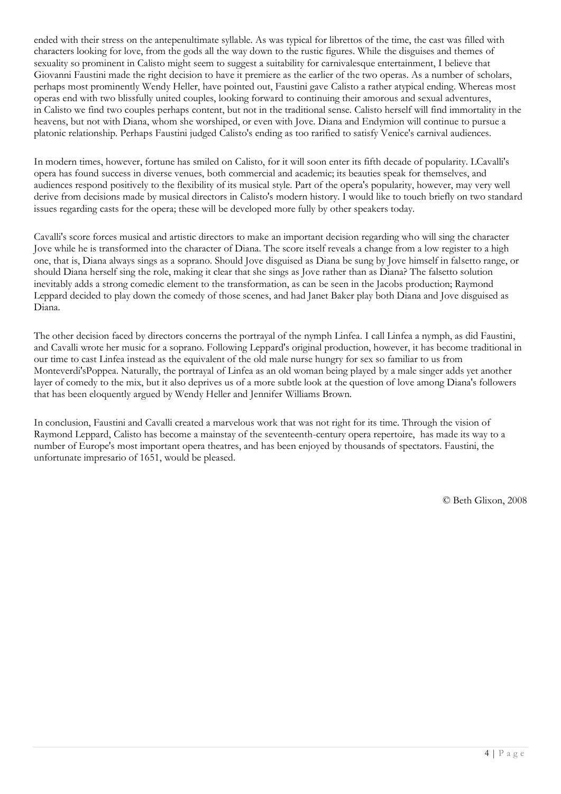ended with their stress on the antepenultimate syllable. As was typical for librettos of the time, the cast was filled with characters looking for love, from the gods all the way down to the rustic figures. While the disguises and themes of sexuality so prominent in Calisto might seem to suggest a suitability for carnivalesque entertainment, I believe that Giovanni Faustini made the right decision to have it premiere as the earlier of the two operas. As a number of scholars, perhaps most prominently Wendy Heller, have pointed out, Faustini gave Calisto a rather atypical ending. Whereas most operas end with two blissfully united couples, looking forward to continuing their amorous and sexual adventures, in Calisto we find two couples perhaps content, but not in the traditional sense. Calisto herself will find immortality in the heavens, but not with Diana, whom she worshiped, or even with Jove. Diana and Endymion will continue to pursue a platonic relationship. Perhaps Faustini judged Calisto's ending as too rarified to satisfy Venice's carnival audiences.

In modern times, however, fortune has smiled on Calisto, for it will soon enter its fifth decade of popularity. LCavalli's opera has found success in diverse venues, both commercial and academic; its beauties speak for themselves, and audiences respond positively to the flexibility of its musical style. Part of the opera's popularity, however, may very well derive from decisions made by musical directors in Calisto's modern history. I would like to touch briefly on two standard issues regarding casts for the opera; these will be developed more fully by other speakers today.

Cavalli's score forces musical and artistic directors to make an important decision regarding who will sing the character Jove while he is transformed into the character of Diana. The score itself reveals a change from a low register to a high one, that is, Diana always sings as a soprano. Should Jove disguised as Diana be sung by Jove himself in falsetto range, or should Diana herself sing the role, making it clear that she sings as Jove rather than as Diana? The falsetto solution inevitably adds a strong comedic element to the transformation, as can be seen in the Jacobs production; Raymond Leppard decided to play down the comedy of those scenes, and had Janet Baker play both Diana and Jove disguised as Diana.

The other decision faced by directors concerns the portrayal of the nymph Linfea. I call Linfea a nymph, as did Faustini, and Cavalli wrote her music for a soprano. Following Leppard's original production, however, it has become traditional in our time to cast Linfea instead as the equivalent of the old male nurse hungry for sex so familiar to us from Monteverdi'sPoppea. Naturally, the portrayal of Linfea as an old woman being played by a male singer adds yet another layer of comedy to the mix, but it also deprives us of a more subtle look at the question of love among Diana's followers that has been eloquently argued by Wendy Heller and Jennifer Williams Brown.

In conclusion, Faustini and Cavalli created a marvelous work that was not right for its time. Through the vision of Raymond Leppard, Calisto has become a mainstay of the seventeenth-century opera repertoire, has made its way to a number of Europe's most important opera theatres, and has been enjoyed by thousands of spectators. Faustini, the unfortunate impresario of 1651, would be pleased.

© Beth Glixon, 2008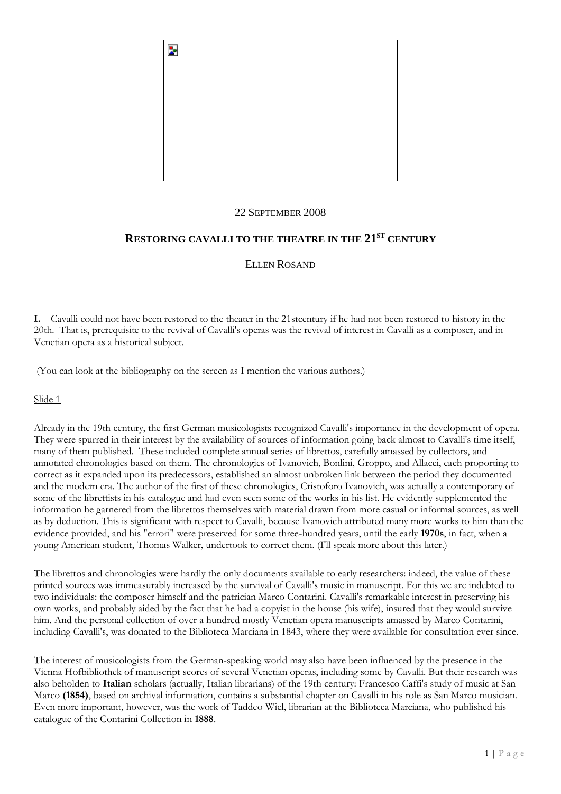

## 22 SEPTEMBER 2008

# **RESTORING CAVALLI TO THE THEATRE IN THE 21ST CENTURY**

ELLEN ROSAND

**I.** Cavalli could not have been restored to the theater in the 21stcentury if he had not been restored to history in the 20th. That is, prerequisite to the revival of Cavalli's operas was the revival of interest in Cavalli as a composer, and in Venetian opera as a historical subject.

(You can look at the bibliography on the screen as I mention the various authors.)

Slide 1

Already in the 19th century, the first German musicologists recognized Cavalli's importance in the development of opera. They were spurred in their interest by the availability of sources of information going back almost to Cavalli's time itself, many of them published. These included complete annual series of librettos, carefully amassed by collectors, and annotated chronologies based on them. The chronologies of Ivanovich, Bonlini, Groppo, and Allacci, each proporting to correct as it expanded upon its predecessors, established an almost unbroken link between the period they documented and the modern era. The author of the first of these chronologies, Cristoforo Ivanovich, was actually a contemporary of some of the librettists in his catalogue and had even seen some of the works in his list. He evidently supplemented the information he garnered from the librettos themselves with material drawn from more casual or informal sources, as well as by deduction. This is significant with respect to Cavalli, because Ivanovich attributed many more works to him than the evidence provided, and his "errori" were preserved for some three-hundred years, until the early **1970s**, in fact, when a young American student, Thomas Walker, undertook to correct them. (I'll speak more about this later.)

The librettos and chronologies were hardly the only documents available to early researchers: indeed, the value of these printed sources was immeasurably increased by the survival of Cavalli's music in manuscript. For this we are indebted to two individuals: the composer himself and the patrician Marco Contarini. Cavalli's remarkable interest in preserving his own works, and probably aided by the fact that he had a copyist in the house (his wife), insured that they would survive him. And the personal collection of over a hundred mostly Venetian opera manuscripts amassed by Marco Contarini, including Cavalli's, was donated to the Biblioteca Marciana in 1843, where they were available for consultation ever since.

The interest of musicologists from the German-speaking world may also have been influenced by the presence in the Vienna Hofbibliothek of manuscript scores of several Venetian operas, including some by Cavalli. But their research was also beholden to **Italian** scholars (actually, Italian librarians) of the 19th century: Francesco Caffi's study of music at San Marco **(1854)**, based on archival information, contains a substantial chapter on Cavalli in his role as San Marco musician. Even more important, however, was the work of Taddeo Wiel, librarian at the Biblioteca Marciana, who published his catalogue of the Contarini Collection in **1888**.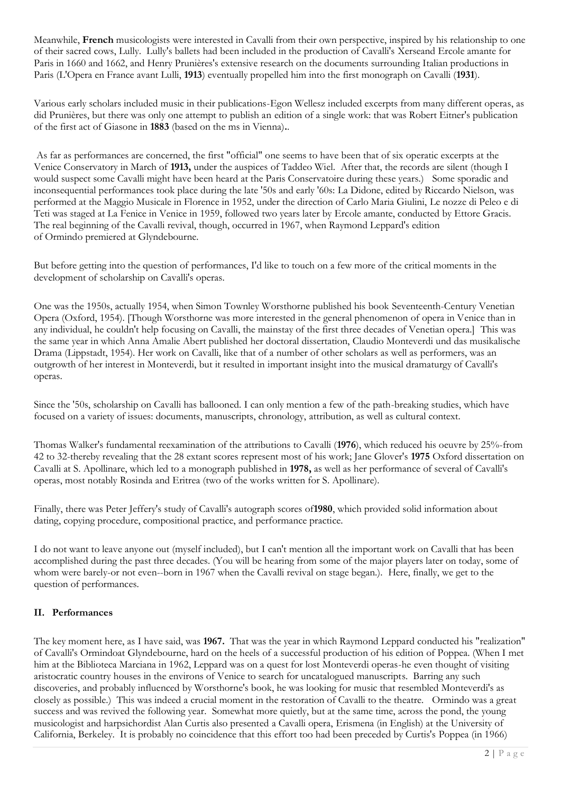Meanwhile, **French** musicologists were interested in Cavalli from their own perspective, inspired by his relationship to one of their sacred cows, Lully. Lully's ballets had been included in the production of Cavalli's Xerseand Ercole amante for Paris in 1660 and 1662, and Henry Prunières's extensive research on the documents surrounding Italian productions in Paris (L'Opera en France avant Lulli, **1913**) eventually propelled him into the first monograph on Cavalli (**1931**).

Various early scholars included music in their publications-Egon Wellesz included excerpts from many different operas, as did Prunières, but there was only one attempt to publish an edition of a single work: that was Robert Eitner's publication of the first act of Giasone in **1883** (based on the ms in Vienna)**.**.

As far as performances are concerned, the first "official" one seems to have been that of six operatic excerpts at the Venice Conservatory in March of **1913,** under the auspices of Taddeo Wiel. After that, the records are silent (though I would suspect some Cavalli might have been heard at the Paris Conservatoire during these years.) Some sporadic and inconsequential performances took place during the late '50s and early '60s: La Didone, edited by Riccardo Nielson, was performed at the Maggio Musicale in Florence in 1952, under the direction of Carlo Maria Giulini, Le nozze di Peleo e di Teti was staged at La Fenice in Venice in 1959, followed two years later by Ercole amante, conducted by Ettore Gracis. The real beginning of the Cavalli revival, though, occurred in 1967, when Raymond Leppard's edition of Ormindo premiered at Glyndebourne.

But before getting into the question of performances, I'd like to touch on a few more of the critical moments in the development of scholarship on Cavalli's operas.

One was the 1950s, actually 1954, when Simon Townley Worsthorne published his book Seventeenth-Century Venetian Opera (Oxford, 1954). [Though Worsthorne was more interested in the general phenomenon of opera in Venice than in any individual, he couldn't help focusing on Cavalli, the mainstay of the first three decades of Venetian opera.] This was the same year in which Anna Amalie Abert published her doctoral dissertation, Claudio Monteverdi und das musikalische Drama (Lippstadt, 1954). Her work on Cavalli, like that of a number of other scholars as well as performers, was an outgrowth of her interest in Monteverdi, but it resulted in important insight into the musical dramaturgy of Cavalli's operas.

Since the '50s, scholarship on Cavalli has ballooned. I can only mention a few of the path-breaking studies, which have focused on a variety of issues: documents, manuscripts, chronology, attribution, as well as cultural context.

Thomas Walker's fundamental reexamination of the attributions to Cavalli (**1976**), which reduced his oeuvre by 25%-from 42 to 32-thereby revealing that the 28 extant scores represent most of his work; Jane Glover's **1975** Oxford dissertation on Cavalli at S. Apollinare, which led to a monograph published in **1978,** as well as her performance of several of Cavalli's operas, most notably Rosinda and Eritrea (two of the works written for S. Apollinare).

Finally, there was Peter Jeffery's study of Cavalli's autograph scores of**1980**, which provided solid information about dating, copying procedure, compositional practice, and performance practice.

I do not want to leave anyone out (myself included), but I can't mention all the important work on Cavalli that has been accomplished during the past three decades. (You will be hearing from some of the major players later on today, some of whom were barely-or not even--born in 1967 when the Cavalli revival on stage began.). Here, finally, we get to the question of performances.

## **II. Performances**

The key moment here, as I have said, was **1967.** That was the year in which Raymond Leppard conducted his "realization" of Cavalli's Ormindoat Glyndebourne, hard on the heels of a successful production of his edition of Poppea. (When I met him at the Biblioteca Marciana in 1962, Leppard was on a quest for lost Monteverdi operas-he even thought of visiting aristocratic country houses in the environs of Venice to search for uncatalogued manuscripts. Barring any such discoveries, and probably influenced by Worsthorne's book, he was looking for music that resembled Monteverdi's as closely as possible.) This was indeed a crucial moment in the restoration of Cavalli to the theatre. Ormindo was a great success and was revived the following year. Somewhat more quietly, but at the same time, across the pond, the young musicologist and harpsichordist Alan Curtis also presented a Cavalli opera, Erismena (in English) at the University of California, Berkeley. It is probably no coincidence that this effort too had been preceded by Curtis's Poppea (in 1966)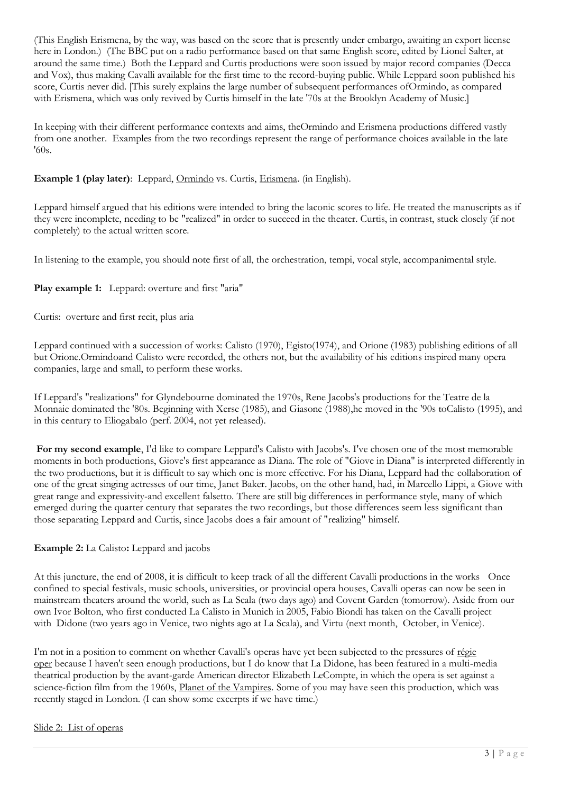(This English Erismena, by the way, was based on the score that is presently under embargo, awaiting an export license here in London.) (The BBC put on a radio performance based on that same English score, edited by Lionel Salter, at around the same time.) Both the Leppard and Curtis productions were soon issued by major record companies (Decca and Vox), thus making Cavalli available for the first time to the record-buying public. While Leppard soon published his score, Curtis never did. [This surely explains the large number of subsequent performances ofOrmindo, as compared with Erismena, which was only revived by Curtis himself in the late '70s at the Brooklyn Academy of Music.]

In keeping with their different performance contexts and aims, theOrmindo and Erismena productions differed vastly from one another. Examples from the two recordings represent the range of performance choices available in the late '60s.

## **Example 1 (play later)**: Leppard, Ormindo vs. Curtis, Erismena. (in English).

Leppard himself argued that his editions were intended to bring the laconic scores to life. He treated the manuscripts as if they were incomplete, needing to be "realized" in order to succeed in the theater. Curtis, in contrast, stuck closely (if not completely) to the actual written score.

In listening to the example, you should note first of all, the orchestration, tempi, vocal style, accompanimental style.

# **Play example 1:** Leppard: overture and first "aria"

Curtis: overture and first recit, plus aria

Leppard continued with a succession of works: Calisto (1970), Egisto(1974), and Orione (1983) publishing editions of all but Orione.Ormindoand Calisto were recorded, the others not, but the availability of his editions inspired many opera companies, large and small, to perform these works.

If Leppard's "realizations" for Glyndebourne dominated the 1970s, Rene Jacobs's productions for the Teatre de la Monnaie dominated the '80s. Beginning with Xerse (1985), and Giasone (1988),he moved in the '90s toCalisto (1995), and in this century to Eliogabalo (perf. 2004, not yet released).

**For my second example**, I'd like to compare Leppard's Calisto with Jacobs's. I've chosen one of the most memorable moments in both productions, Giove's first appearance as Diana. The role of "Giove in Diana" is interpreted differently in the two productions, but it is difficult to say which one is more effective. For his Diana, Leppard had the collaboration of one of the great singing actresses of our time, Janet Baker. Jacobs, on the other hand, had, in Marcello Lippi, a Giove with great range and expressivity-and excellent falsetto. There are still big differences in performance style, many of which emerged during the quarter century that separates the two recordings, but those differences seem less significant than those separating Leppard and Curtis, since Jacobs does a fair amount of "realizing" himself.

## **Example 2:** La Calisto**:** Leppard and jacobs

At this juncture, the end of 2008, it is difficult to keep track of all the different Cavalli productions in the works Once confined to special festivals, music schools, universities, or provincial opera houses, Cavalli operas can now be seen in mainstream theaters around the world, such as La Scala (two days ago) and Covent Garden (tomorrow). Aside from our own Ivor Bolton, who first conducted La Calisto in Munich in 2005, Fabio Biondi has taken on the Cavalli project with Didone (two years ago in Venice, two nights ago at La Scala), and Virtu (next month, October, in Venice).

I'm not in a position to comment on whether Cavalli's operas have yet been subjected to the pressures of régie oper because I haven't seen enough productions, but I do know that La Didone, has been featured in a multi-media theatrical production by the avant-garde American director Elizabeth LeCompte, in which the opera is set against a science-fiction film from the 1960s, Planet of the Vampires. Some of you may have seen this production, which was recently staged in London. (I can show some excerpts if we have time.)

## Slide 2: List of operas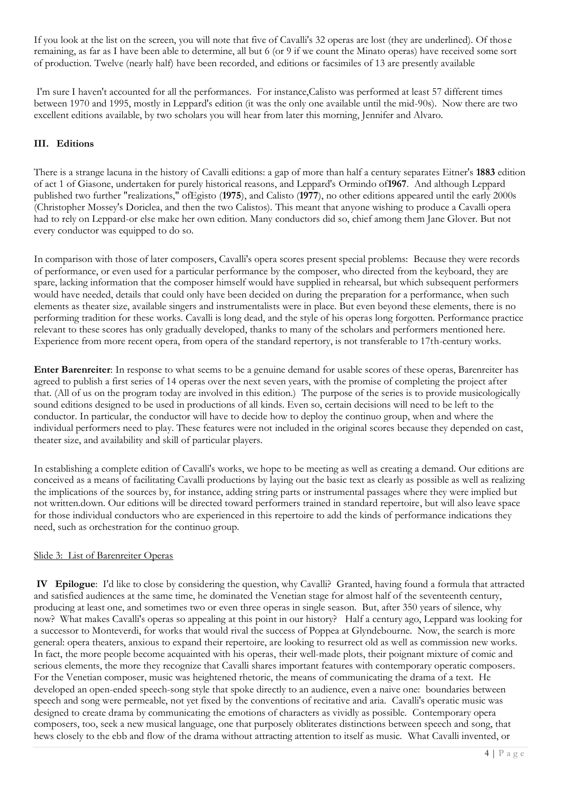If you look at the list on the screen, you will note that five of Cavalli's 32 operas are lost (they are underlined). Of those remaining, as far as I have been able to determine, all but 6 (or 9 if we count the Minato operas) have received some sort of production. Twelve (nearly half) have been recorded, and editions or facsimiles of 13 are presently available

I'm sure I haven't accounted for all the performances. For instance,Calisto was performed at least 57 different times between 1970 and 1995, mostly in Leppard's edition (it was the only one available until the mid-90s). Now there are two excellent editions available, by two scholars you will hear from later this morning, Jennifer and Alvaro.

## **III. Editions**

There is a strange lacuna in the history of Cavalli editions: a gap of more than half a century separates Eitner's **1883** edition of act 1 of Giasone, undertaken for purely historical reasons, and Leppard's Ormindo of**1967**. And although Leppard published two further "realizations," ofEgisto (**1975**), and Calisto (**1977**), no other editions appeared until the early 2000s (Christopher Mossey's Doriclea, and then the two Calistos). This meant that anyone wishing to produce a Cavalli opera had to rely on Leppard-or else make her own edition. Many conductors did so, chief among them Jane Glover. But not every conductor was equipped to do so.

In comparison with those of later composers, Cavalli's opera scores present special problems: Because they were records of performance, or even used for a particular performance by the composer, who directed from the keyboard, they are spare, lacking information that the composer himself would have supplied in rehearsal, but which subsequent performers would have needed, details that could only have been decided on during the preparation for a performance, when such elements as theater size, available singers and instrumentalists were in place. But even beyond these elements, there is no performing tradition for these works. Cavalli is long dead, and the style of his operas long forgotten. Performance practice relevant to these scores has only gradually developed, thanks to many of the scholars and performers mentioned here. Experience from more recent opera, from opera of the standard repertory, is not transferable to 17th-century works.

**Enter Barenreiter**: In response to what seems to be a genuine demand for usable scores of these operas, Barenreiter has agreed to publish a first series of 14 operas over the next seven years, with the promise of completing the project after that. (All of us on the program today are involved in this edition.) The purpose of the series is to provide musicologically sound editions designed to be used in productions of all kinds. Even so, certain decisions will need to be left to the conductor. In particular, the conductor will have to decide how to deploy the continuo group, when and where the individual performers need to play. These features were not included in the original scores because they depended on cast, theater size, and availability and skill of particular players.

In establishing a complete edition of Cavalli's works, we hope to be meeting as well as creating a demand. Our editions are conceived as a means of facilitating Cavalli productions by laying out the basic text as clearly as possible as well as realizing the implications of the sources by, for instance, adding string parts or instrumental passages where they were implied but not written.down. Our editions will be directed toward performers trained in standard repertoire, but will also leave space for those individual conductors who are experienced in this repertoire to add the kinds of performance indications they need, such as orchestration for the continuo group.

#### Slide 3: List of Barenreiter Operas

**IV Epilogue**: I'd like to close by considering the question, why Cavalli? Granted, having found a formula that attracted and satisfied audiences at the same time, he dominated the Venetian stage for almost half of the seventeenth century, producing at least one, and sometimes two or even three operas in single season. But, after 350 years of silence, why now? What makes Cavalli's operas so appealing at this point in our history? Half a century ago, Leppard was looking for a successor to Monteverdi, for works that would rival the success of Poppea at Glyndebourne. Now, the search is more general: opera theaters, anxious to expand their repertoire, are looking to resurrect old as well as commission new works. In fact, the more people become acquainted with his operas, their well-made plots, their poignant mixture of comic and serious elements, the more they recognize that Cavalli shares important features with contemporary operatic composers. For the Venetian composer, music was heightened rhetoric, the means of communicating the drama of a text. He developed an open-ended speech-song style that spoke directly to an audience, even a naive one: boundaries between speech and song were permeable, not yet fixed by the conventions of recitative and aria. Cavalli's operatic music was designed to create drama by communicating the emotions of characters as vividly as possible. Contemporary opera composers, too, seek a new musical language, one that purposely obliterates distinctions between speech and song, that hews closely to the ebb and flow of the drama without attracting attention to itself as music. What Cavalli invented, or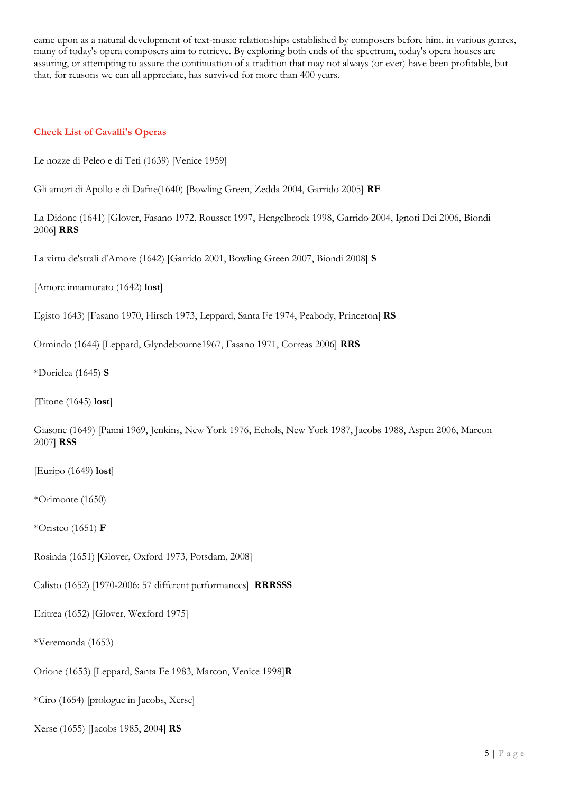came upon as a natural development of text-music relationships established by composers before him, in various genres, many of today's opera composers aim to retrieve. By exploring both ends of the spectrum, today's opera houses are assuring, or attempting to assure the continuation of a tradition that may not always (or ever) have been profitable, but that, for reasons we can all appreciate, has survived for more than 400 years.

#### **Check List of Cavalli's Operas**

Le nozze di Peleo e di Teti (1639) [Venice 1959]

Gli amori di Apollo e di Dafne(1640) [Bowling Green, Zedda 2004, Garrido 2005] **RF**

La Didone (1641) [Glover, Fasano 1972, Rousset 1997, Hengelbrock 1998, Garrido 2004, Ignoti Dei 2006, Biondi 2006] **RRS**

La virtu de'strali d'Amore (1642) [Garrido 2001, Bowling Green 2007, Biondi 2008] **S**

[Amore innamorato (1642) **lost**]

Egisto 1643) [Fasano 1970, Hirsch 1973, Leppard, Santa Fe 1974, Peabody, Princeton] **RS**

Ormindo (1644) [Leppard, Glyndebourne1967, Fasano 1971, Correas 2006] **RRS**

\*Doriclea (1645) **S**

[Titone (1645) **lost**]

Giasone (1649) [Panni 1969, Jenkins, New York 1976, Echols, New York 1987, Jacobs 1988, Aspen 2006, Marcon 2007] **RSS**

[Euripo (1649) **lost**]

\*Orimonte (1650)

\*Oristeo (1651) **F**

Rosinda (1651) [Glover, Oxford 1973, Potsdam, 2008]

Calisto (1652) [1970-2006: 57 different performances] **RRRSSS**

Eritrea (1652) [Glover, Wexford 1975]

\*Veremonda (1653)

Orione (1653) [Leppard, Santa Fe 1983, Marcon, Venice 1998]**R**

\*Ciro (1654) [prologue in Jacobs, Xerse]

Xerse (1655) [Jacobs 1985, 2004] **RS**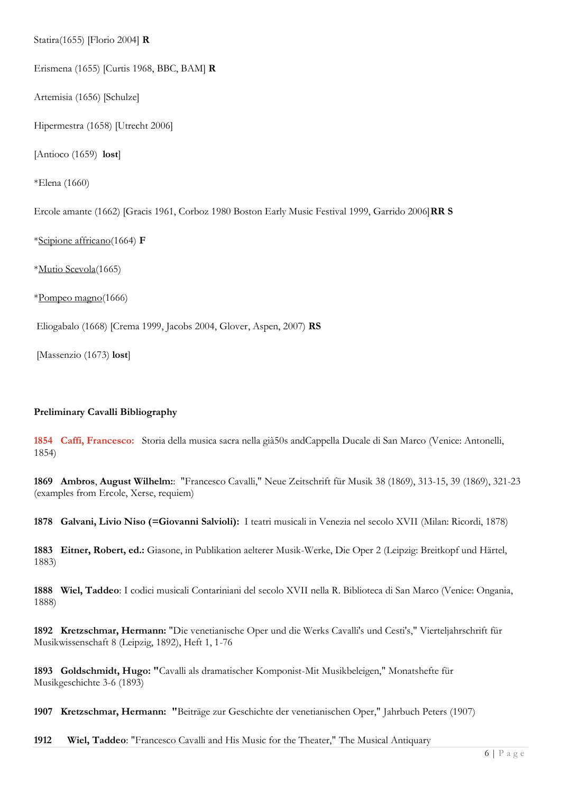Statira(1655) [Florio 2004] **R**

Erismena (1655) [Curtis 1968, BBC, BAM] **R**

Artemisia (1656) [Schulze]

Hipermestra (1658) [Utrecht 2006]

[Antioco (1659) **lost**]

\*Elena (1660)

Ercole amante (1662) [Gracis 1961, Corboz 1980 Boston Early Music Festival 1999, Garrido 2006]**RR S**

\*Scipione affricano(1664) **F**

\*Mutio Scevola(1665)

\*Pompeo magno(1666)

Eliogabalo (1668) [Crema 1999, Jacobs 2004, Glover, Aspen, 2007) **RS**

[Massenzio (1673) **lost**]

#### **Preliminary Cavalli Bibliography**

**1854 Caffi, Francesco:** Storia della musica sacra nella già50s andCappella Ducale di San Marco (Venice: Antonelli, 1854)

**1869 Ambros**, **August Wilhelm:**: "Francesco Cavalli," Neue Zeitschrift für Musik 38 (1869), 313-15, 39 (1869), 321-23 (examples from Ercole, Xerse, requiem)

**1878 Galvani, Livio Niso (=Giovanni Salvioli):** I teatri musicali in Venezia nel secolo XVII (Milan: Ricordi, 1878)

**1883 Eitner, Robert, ed.:** Giasone, in Publikation aelterer Musik-Werke, Die Oper 2 (Leipzig: Breitkopf und Härtel, 1883)

**1888 Wiel, Taddeo**: I codici musicali Contariniani del secolo XVII nella R. Biblioteca di San Marco (Venice: Ongania, 1888)

**1892 Kretzschmar, Hermann:** "Die venetianische Oper und die Werks Cavalli's und Cesti's," Vierteljahrschrift für Musikwissenschaft 8 (Leipzig, 1892), Heft 1, 1-76

**1893 Goldschmidt, Hugo: "**Cavalli als dramatischer Komponist-Mit Musikbeleigen," Monatshefte für Musikgeschichte 3-6 (1893)

**1907 Kretzschmar, Hermann: "**Beiträge zur Geschichte der venetianischen Oper," Jahrbuch Peters (1907)

**1912 Wiel, Taddeo**: "Francesco Cavalli and His Music for the Theater," The Musical Antiquary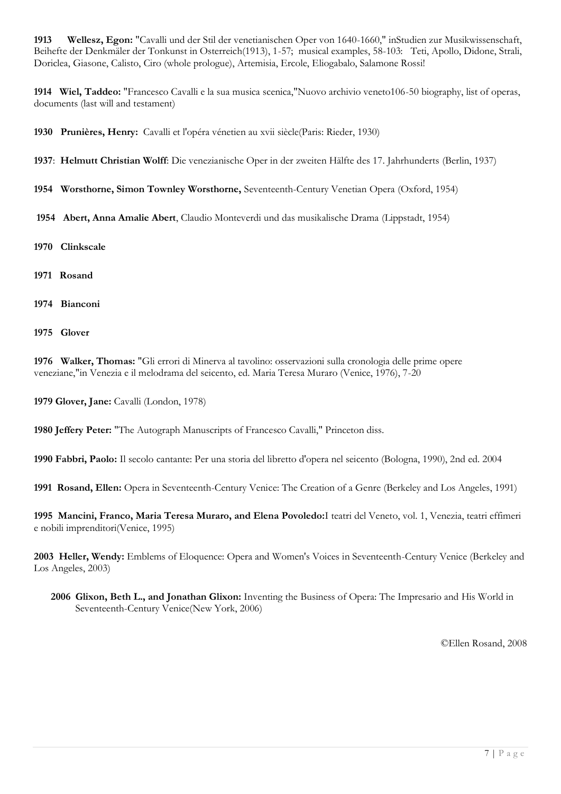**1913 Wellesz, Egon:** "Cavalli und der Stil der venetianischen Oper von 1640-1660," inStudien zur Musikwissenschaft, Beihefte der Denkmäler der Tonkunst in Osterreich(1913), 1-57; musical examples, 58-103: Teti, Apollo, Didone, Strali, Doriclea, Giasone, Calisto, Ciro (whole prologue), Artemisia, Ercole, Eliogabalo, Salamone Rossi!

**1914 Wiel, Taddeo:** "Francesco Cavalli e la sua musica scenica,"Nuovo archivio veneto106-50 biography, list of operas, documents (last will and testament)

**1930 Prunières, Henry:** Cavalli et l'opéra vénetien au xvii siècle(Paris: Rieder, 1930)

**1937**: **Helmutt Christian Wolff**: Die venezianische Oper in der zweiten Hälfte des 17. Jahrhunderts (Berlin, 1937)

**1954 Worsthorne, Simon Townley Worsthorne,** Seventeenth-Century Venetian Opera (Oxford, 1954)

**1954 Abert, Anna Amalie Abert**, Claudio Monteverdi und das musikalische Drama (Lippstadt, 1954)

- **1970 Clinkscale**
- **1971 Rosand**
- **1974 Bianconi**
- **1975 Glover**

**1976 Walker, Thomas:** "Gli errori di Minerva al tavolino: osservazioni sulla cronologia delle prime opere veneziane,"in Venezia e il melodrama del seicento, ed. Maria Teresa Muraro (Venice, 1976), 7-20

**1979 Glover, Jane:** Cavalli (London, 1978)

**1980 Jeffery Peter:** "The Autograph Manuscripts of Francesco Cavalli," Princeton diss.

**1990 Fabbri, Paolo:** Il secolo cantante: Per una storia del libretto d'opera nel seicento (Bologna, 1990), 2nd ed. 2004

**1991 Rosand, Ellen:** Opera in Seventeenth-Century Venice: The Creation of a Genre (Berkeley and Los Angeles, 1991)

**1995 Mancini, Franco, Maria Teresa Muraro, and Elena Povoledo:**I teatri del Veneto, vol. 1, Venezia, teatri effimeri e nobili imprenditori(Venice, 1995)

**2003 Heller, Wendy:** Emblems of Eloquence: Opera and Women's Voices in Seventeenth-Century Venice (Berkeley and Los Angeles, 2003)

**2006 Glixon, Beth L., and Jonathan Glixon:** Inventing the Business of Opera: The Impresario and His World in Seventeenth-Century Venice(New York, 2006)

©Ellen Rosand, 2008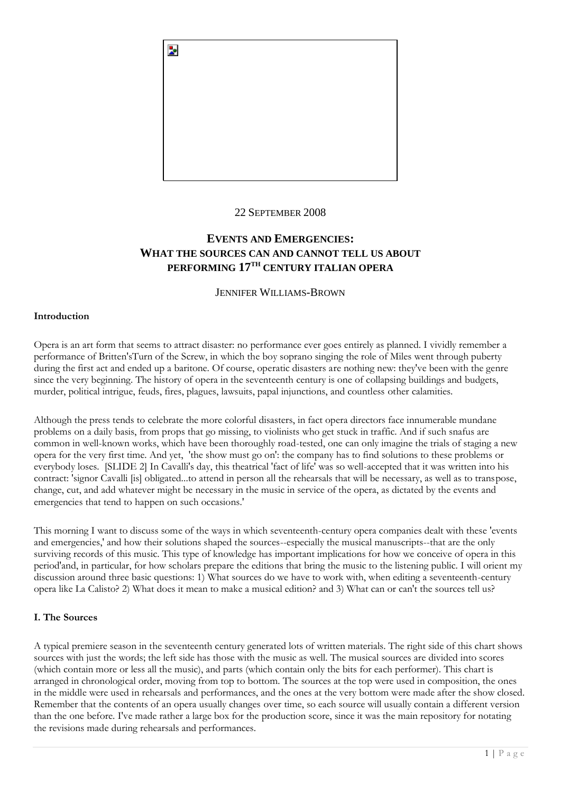

#### 22 SEPTEMBER 2008

# **EVENTS AND EMERGENCIES: WHAT THE SOURCES CAN AND CANNOT TELL US ABOUT PERFORMING 17TH CENTURY ITALIAN OPERA**

#### JENNIFER WILLIAMS-BROWN

#### **Introduction**

Opera is an art form that seems to attract disaster: no performance ever goes entirely as planned. I vividly remember a performance of Britten'sTurn of the Screw, in which the boy soprano singing the role of Miles went through puberty during the first act and ended up a baritone. Of course, operatic disasters are nothing new: they've been with the genre since the very beginning. The history of opera in the seventeenth century is one of collapsing buildings and budgets, murder, political intrigue, feuds, fires, plagues, lawsuits, papal injunctions, and countless other calamities.

Although the press tends to celebrate the more colorful disasters, in fact opera directors face innumerable mundane problems on a daily basis, from props that go missing, to violinists who get stuck in traffic. And if such snafus are common in well-known works, which have been thoroughly road-tested, one can only imagine the trials of staging a new opera for the very first time. And yet, 'the show must go on': the company has to find solutions to these problems or everybody loses. [SLIDE 2] In Cavalli's day, this theatrical 'fact of life' was so well-accepted that it was written into his contract: 'signor Cavalli [is] obligated...to attend in person all the rehearsals that will be necessary, as well as to transpose, change, cut, and add whatever might be necessary in the music in service of the opera, as dictated by the events and emergencies that tend to happen on such occasions.'

This morning I want to discuss some of the ways in which seventeenth-century opera companies dealt with these 'events and emergencies,' and how their solutions shaped the sources--especially the musical manuscripts--that are the only surviving records of this music. This type of knowledge has important implications for how we conceive of opera in this period'and, in particular, for how scholars prepare the editions that bring the music to the listening public. I will orient my discussion around three basic questions: 1) What sources do we have to work with, when editing a seventeenth-century opera like La Calisto? 2) What does it mean to make a musical edition? and 3) What can or can't the sources tell us?

#### **I. The Sources**

A typical premiere season in the seventeenth century generated lots of written materials. The right side of this chart shows sources with just the words; the left side has those with the music as well. The musical sources are divided into scores (which contain more or less all the music), and parts (which contain only the bits for each performer). This chart is arranged in chronological order, moving from top to bottom. The sources at the top were used in composition, the ones in the middle were used in rehearsals and performances, and the ones at the very bottom were made after the show closed. Remember that the contents of an opera usually changes over time, so each source will usually contain a different version than the one before. I've made rather a large box for the production score, since it was the main repository for notating the revisions made during rehearsals and performances.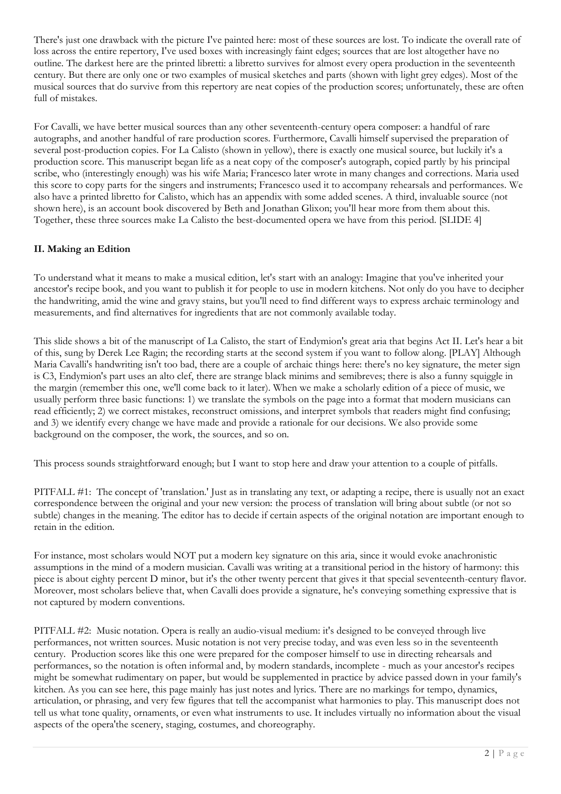There's just one drawback with the picture I've painted here: most of these sources are lost. To indicate the overall rate of loss across the entire repertory, I've used boxes with increasingly faint edges; sources that are lost altogether have no outline. The darkest here are the printed libretti: a libretto survives for almost every opera production in the seventeenth century. But there are only one or two examples of musical sketches and parts (shown with light grey edges). Most of the musical sources that do survive from this repertory are neat copies of the production scores; unfortunately, these are often full of mistakes.

For Cavalli, we have better musical sources than any other seventeenth-century opera composer: a handful of rare autographs, and another handful of rare production scores. Furthermore, Cavalli himself supervised the preparation of several post-production copies. For La Calisto (shown in yellow), there is exactly one musical source, but luckily it's a production score. This manuscript began life as a neat copy of the composer's autograph, copied partly by his principal scribe, who (interestingly enough) was his wife Maria; Francesco later wrote in many changes and corrections. Maria used this score to copy parts for the singers and instruments; Francesco used it to accompany rehearsals and performances. We also have a printed libretto for Calisto, which has an appendix with some added scenes. A third, invaluable source (not shown here), is an account book discovered by Beth and Jonathan Glixon; you'll hear more from them about this. Together, these three sources make La Calisto the best-documented opera we have from this period. [SLIDE 4]

# **II. Making an Edition**

To understand what it means to make a musical edition, let's start with an analogy: Imagine that you've inherited your ancestor's recipe book, and you want to publish it for people to use in modern kitchens. Not only do you have to decipher the handwriting, amid the wine and gravy stains, but you'll need to find different ways to express archaic terminology and measurements, and find alternatives for ingredients that are not commonly available today.

This slide shows a bit of the manuscript of La Calisto, the start of Endymion's great aria that begins Act II. Let's hear a bit of this, sung by Derek Lee Ragin; the recording starts at the second system if you want to follow along. [PLAY] Although Maria Cavalli's handwriting isn't too bad, there are a couple of archaic things here: there's no key signature, the meter sign is C3, Endymion's part uses an alto clef, there are strange black minims and semibreves; there is also a funny squiggle in the margin (remember this one, we'll come back to it later). When we make a scholarly edition of a piece of music, we usually perform three basic functions: 1) we translate the symbols on the page into a format that modern musicians can read efficiently; 2) we correct mistakes, reconstruct omissions, and interpret symbols that readers might find confusing; and 3) we identify every change we have made and provide a rationale for our decisions. We also provide some background on the composer, the work, the sources, and so on.

This process sounds straightforward enough; but I want to stop here and draw your attention to a couple of pitfalls.

PITFALL #1: The concept of 'translation.' Just as in translating any text, or adapting a recipe, there is usually not an exact correspondence between the original and your new version: the process of translation will bring about subtle (or not so subtle) changes in the meaning. The editor has to decide if certain aspects of the original notation are important enough to retain in the edition.

For instance, most scholars would NOT put a modern key signature on this aria, since it would evoke anachronistic assumptions in the mind of a modern musician. Cavalli was writing at a transitional period in the history of harmony: this piece is about eighty percent D minor, but it's the other twenty percent that gives it that special seventeenth-century flavor. Moreover, most scholars believe that, when Cavalli does provide a signature, he's conveying something expressive that is not captured by modern conventions.

PITFALL #2: Music notation. Opera is really an audio-visual medium: it's designed to be conveyed through live performances, not written sources. Music notation is not very precise today, and was even less so in the seventeenth century. Production scores like this one were prepared for the composer himself to use in directing rehearsals and performances, so the notation is often informal and, by modern standards, incomplete - much as your ancestor's recipes might be somewhat rudimentary on paper, but would be supplemented in practice by advice passed down in your family's kitchen. As you can see here, this page mainly has just notes and lyrics. There are no markings for tempo, dynamics, articulation, or phrasing, and very few figures that tell the accompanist what harmonies to play. This manuscript does not tell us what tone quality, ornaments, or even what instruments to use. It includes virtually no information about the visual aspects of the opera'the scenery, staging, costumes, and choreography.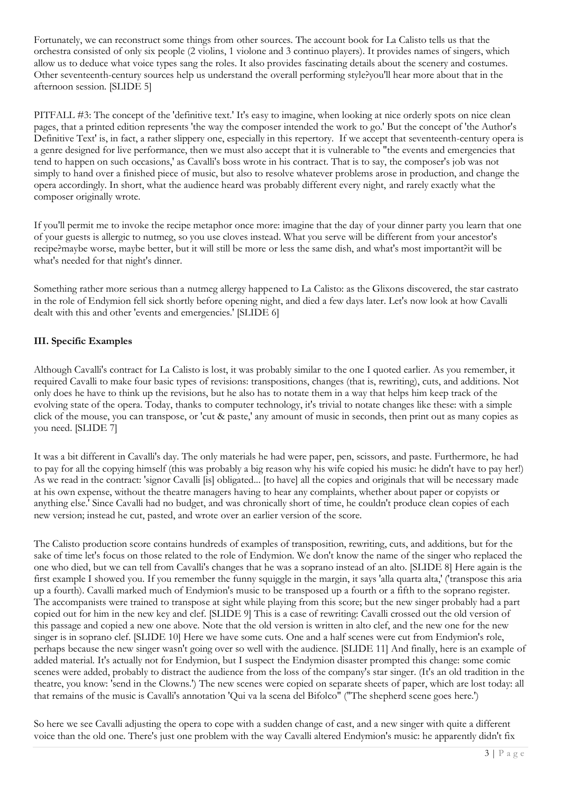Fortunately, we can reconstruct some things from other sources. The account book for La Calisto tells us that the orchestra consisted of only six people (2 violins, 1 violone and 3 continuo players). It provides names of singers, which allow us to deduce what voice types sang the roles. It also provides fascinating details about the scenery and costumes. Other seventeenth-century sources help us understand the overall performing style?you'll hear more about that in the afternoon session. [SLIDE 5]

PITFALL #3: The concept of the 'definitive text.' It's easy to imagine, when looking at nice orderly spots on nice clean pages, that a printed edition represents 'the way the composer intended the work to go.' But the concept of 'the Author's Definitive Text' is, in fact, a rather slippery one, especially in this repertory. If we accept that seventeenth-century opera is a genre designed for live performance, then we must also accept that it is vulnerable to "the events and emergencies that tend to happen on such occasions,' as Cavalli's boss wrote in his contract. That is to say, the composer's job was not simply to hand over a finished piece of music, but also to resolve whatever problems arose in production, and change the opera accordingly. In short, what the audience heard was probably different every night, and rarely exactly what the composer originally wrote.

If you'll permit me to invoke the recipe metaphor once more: imagine that the day of your dinner party you learn that one of your guests is allergic to nutmeg, so you use cloves instead. What you serve will be different from your ancestor's recipe?maybe worse, maybe better, but it will still be more or less the same dish, and what's most important?it will be what's needed for that night's dinner.

Something rather more serious than a nutmeg allergy happened to La Calisto: as the Glixons discovered, the star castrato in the role of Endymion fell sick shortly before opening night, and died a few days later. Let's now look at how Cavalli dealt with this and other 'events and emergencies.' [SLIDE 6]

# **III. Specific Examples**

Although Cavalli's contract for La Calisto is lost, it was probably similar to the one I quoted earlier. As you remember, it required Cavalli to make four basic types of revisions: transpositions, changes (that is, rewriting), cuts, and additions. Not only does he have to think up the revisions, but he also has to notate them in a way that helps him keep track of the evolving state of the opera. Today, thanks to computer technology, it's trivial to notate changes like these: with a simple click of the mouse, you can transpose, or 'cut & paste,' any amount of music in seconds, then print out as many copies as you need. [SLIDE 7]

It was a bit different in Cavalli's day. The only materials he had were paper, pen, scissors, and paste. Furthermore, he had to pay for all the copying himself (this was probably a big reason why his wife copied his music: he didn't have to pay her!) As we read in the contract: 'signor Cavalli [is] obligated... [to have] all the copies and originals that will be necessary made at his own expense, without the theatre managers having to hear any complaints, whether about paper or copyists or anything else.' Since Cavalli had no budget, and was chronically short of time, he couldn't produce clean copies of each new version; instead he cut, pasted, and wrote over an earlier version of the score.

The Calisto production score contains hundreds of examples of transposition, rewriting, cuts, and additions, but for the sake of time let's focus on those related to the role of Endymion. We don't know the name of the singer who replaced the one who died, but we can tell from Cavalli's changes that he was a soprano instead of an alto. [SLIDE 8] Here again is the first example I showed you. If you remember the funny squiggle in the margin, it says 'alla quarta alta,' ('transpose this aria up a fourth). Cavalli marked much of Endymion's music to be transposed up a fourth or a fifth to the soprano register. The accompanists were trained to transpose at sight while playing from this score; but the new singer probably had a part copied out for him in the new key and clef. [SLIDE 9] This is a case of rewriting: Cavalli crossed out the old version of this passage and copied a new one above. Note that the old version is written in alto clef, and the new one for the new singer is in soprano clef. [SLIDE 10] Here we have some cuts. One and a half scenes were cut from Endymion's role, perhaps because the new singer wasn't going over so well with the audience. [SLIDE 11] And finally, here is an example of added material. It's actually not for Endymion, but I suspect the Endymion disaster prompted this change: some comic scenes were added, probably to distract the audience from the loss of the company's star singer. (It's an old tradition in the theatre, you know: 'send in the Clowns.') The new scenes were copied on separate sheets of paper, which are lost today: all that remains of the music is Cavalli's annotation 'Qui va la scena del Bifolco" ("The shepherd scene goes here.')

So here we see Cavalli adjusting the opera to cope with a sudden change of cast, and a new singer with quite a different voice than the old one. There's just one problem with the way Cavalli altered Endymion's music: he apparently didn't fix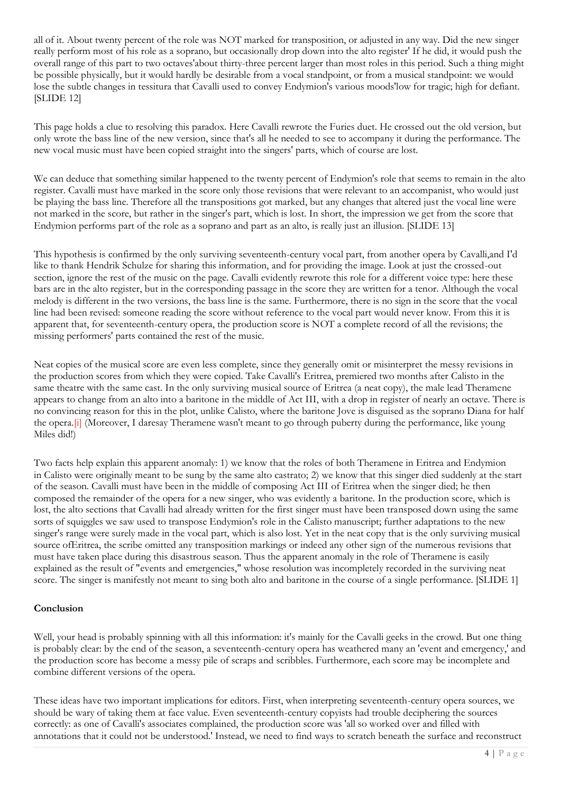all of it. About twenty percent of the role was NOT marked for transposition, or adjusted in any way. Did the new singer really perform most of his role as a soprano, but occasionally drop down into the alto register' If he did, it would push the overall range of this part to two octaves'about thirty-three percent larger than most roles in this period. Such a thing might be possible physically, but it would hardly be desirable from a vocal standpoint, or from a musical standpoint: we would lose the subtle changes in tessitura that Cavalli used to convey Endymion's various moods'low for tragic; high for defiant. [SLIDE 12]

This page holds a clue to resolving this paradox. Here Cavalli rewrote the Furies duet. He crossed out the old version, but only wrote the bass line of the new version, since that's all he needed to see to accompany it during the performance. The new vocal music must have been copied straight into the singers' parts, which of course are lost.

We can deduce that something similar happened to the twenty percent of Endymion's role that seems to remain in the alto register. Cavalli must have marked in the score only those revisions that were relevant to an accompanist, who would just be playing the bass line. Therefore all the transpositions got marked, but any changes that altered just the vocal line were not marked in the score, but rather in the singer's part, which is lost. In short, the impression we get from the score that Endymion performs part of the role as a soprano and part as an alto, is really just an illusion. [SLIDE 13]

This hypothesis is confirmed by the only surviving seventeenth-century vocal part, from another opera by Cavalli,and I'd like to thank Hendrik Schulze for sharing this information, and for providing the image. Look at just the crossed-out section, ignore the rest of the music on the page. Cavalli evidently rewrote this role for a different voice type: here these bars are in the alto register, but in the corresponding passage in the score they are written for a tenor. Although the vocal melody is different in the two versions, the bass line is the same. Furthermore, there is no sign in the score that the vocal line had been revised: someone reading the score without reference to the vocal part would never know. From this it is apparent that, for seventeenth-century opera, the production score is NOT a complete record of all the revisions; the missing performers' parts contained the rest of the music.

Neat copies of the musical score are even less complete, since they generally omit or misinterpret the messy revisions in the production scores from which they were copied. Take Cavalli's Eritrea, premiered two months after Calisto in the same theatre with the same cast. In the only surviving musical source of Eritrea (a neat copy), the male lead Theramene appears to change from an alto into a baritone in the middle of Act III, with a drop in register of nearly an octave. There is no convincing reason for this in the plot, unlike Calisto, where the baritone Jove is disguised as the soprano Diana for half the opera[.\[i\]](http://www.gresham.ac.uk/event.asp?PageId=45&EventId=776#_edn1) (Moreover, I daresay Theramene wasn't meant to go through puberty during the performance, like young Miles did!)

Two facts help explain this apparent anomaly: 1) we know that the roles of both Theramene in Eritrea and Endymion in Calisto were originally meant to be sung by the same alto castrato; 2) we know that this singer died suddenly at the start of the season. Cavalli must have been in the middle of composing Act III of Eritrea when the singer died; he then composed the remainder of the opera for a new singer, who was evidently a baritone. In the production score, which is lost, the alto sections that Cavalli had already written for the first singer must have been transposed down using the same sorts of squiggles we saw used to transpose Endymion's role in the Calisto manuscript; further adaptations to the new singer's range were surely made in the vocal part, which is also lost. Yet in the neat copy that is the only surviving musical source ofEritrea, the scribe omitted any transposition markings or indeed any other sign of the numerous revisions that must have taken place during this disastrous season. Thus the apparent anomaly in the role of Theramene is easily explained as the result of "events and emergencies," whose resolution was incompletely recorded in the surviving neat score. The singer is manifestly not meant to sing both alto and baritone in the course of a single performance. [SLIDE 1]

#### **Conclusion**

Well, your head is probably spinning with all this information: it's mainly for the Cavalli geeks in the crowd. But one thing is probably clear: by the end of the season, a seventeenth-century opera has weathered many an 'event and emergency,' and the production score has become a messy pile of scraps and scribbles. Furthermore, each score may be incomplete and combine different versions of the opera.

These ideas have two important implications for editors. First, when interpreting seventeenth-century opera sources, we should be wary of taking them at face value. Even seventeenth-century copyists had trouble deciphering the sources correctly: as one of Cavalli's associates complained, the production score was 'all so worked over and filled with annotations that it could not be understood.' Instead, we need to find ways to scratch beneath the surface and reconstruct